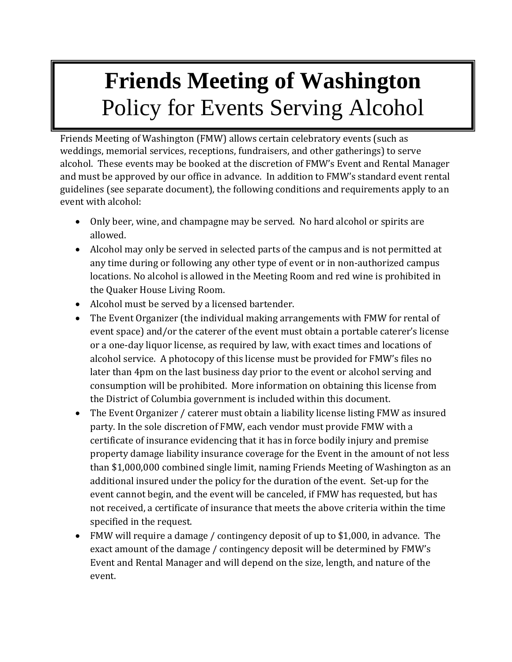## **Friends Meeting of Washington** Policy for Events Serving Alcohol

Friends Meeting of Washington (FMW) allows certain celebratory events (such as weddings, memorial services, receptions, fundraisers, and other gatherings) to serve alcohol. These events may be booked at the discretion of FMW's Event and Rental Manager and must be approved by our office in advance. In addition to FMW's standard event rental guidelines (see separate document), the following conditions and requirements apply to an event with alcohol: and must be approved by our office in advance. In addition to FMW's standard event rent:<br>guidelines (see separate document), the following conditions and requirements apply to a<br>event with alcohol:

- Only beer, wine, and champagne may be served. No hard alcohol or spirits are allowed.
	- Alcohol may only be served in selected parts of the campus and is not permitted at any time during or following any other type of event or in non-authorized campus locations. No alcohol is allowed in the Meeting Room and red wine is prohibited in the Quaker House Living Room.
	- Alcohol must be served by a licensed bartender.
	- The Event Organizer (the individual making arrangements with FMW for rental of event space) and/or the caterer of the event must obtain a portable caterer's license or a one-day liquor license, as required by law, with exact times and locations of alcohol service. A photocopy of this license must be provided for FMW's files no later than 4pm on the last business day prior to the event or alcohol serving and consumption will be prohibited. More information on obtaining this license from the District of Columbia government is included within this document.
	- The Event Organizer / caterer must obtain a liability license listing FMW as insured party. In the sole discretion of FMW, each vendor must provide FMW with a certificate of insurance evidencing that it has in force bodily injury and premise property damage liability insurance coverage for the Event in the amount of not less than \$1,000,000 combined single limit, naming Friends Meeting of Washington as an additional insured under the policy for the duration of the event. Set-up for the event cannot begin, and the event will be canceled, if FMW has requested, but has not received, a certificate of insurance that meets the above criteria within the time specified in the request.
	- FMW will require a damage / contingency deposit of up to \$1,000, in advance. The exact amount of the damage / contingency deposit will be determined by FMW's Event and Rental Manager and will depend on the size, length, and nature of the event.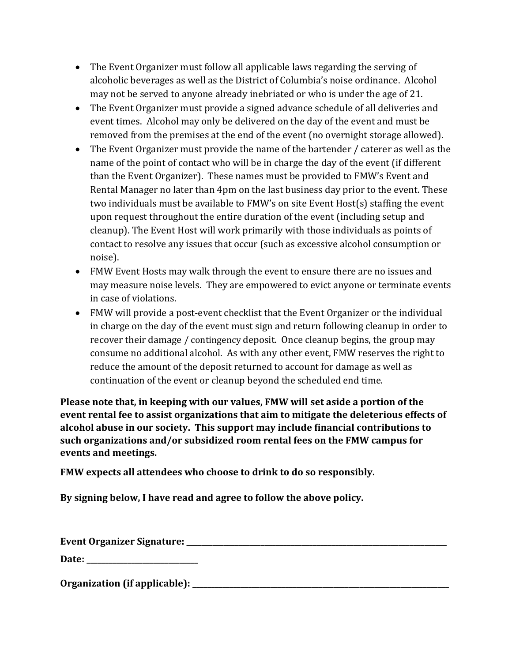- The Event Organizer must follow all applicable laws regarding the serving of alcoholic beverages as well as the District of Columbia's noise ordinance. Alcohol may not be served to anyone already inebriated or who is under the age of 21.
- The Event Organizer must provide a signed advance schedule of all deliveries and event times. Alcohol may only be delivered on the day of the event and must be removed from the premises at the end of the event (no overnight storage allowed).
- The Event Organizer must provide the name of the bartender / caterer as well as the name of the point of contact who will be in charge the day of the event (if different than the Event Organizer). These names must be provided to FMW's Event and Rental Manager no later than 4pm on the last business day prior to the event. These two individuals must be available to FMW's on site Event Host(s) staffing the event upon request throughout the entire duration of the event (including setup and cleanup). The Event Host will work primarily with those individuals as points of contact to resolve any issues that occur (such as excessive alcohol consumption or noise).
- FMW Event Hosts may walk through the event to ensure there are no issues and may measure noise levels. They are empowered to evict anyone or terminate events in case of violations.
- FMW will provide a post-event checklist that the Event Organizer or the individual in charge on the day of the event must sign and return following cleanup in order to recover their damage / contingency deposit. Once cleanup begins, the group may consume no additional alcohol. As with any other event, FMW reserves the right to reduce the amount of the deposit returned to account for damage as well as continuation of the event or cleanup beyond the scheduled end time.

**Please note that, in keeping with our values, FMW will set aside a portion of the event rental fee to assist organizations that aim to mitigate the deleterious effects of alcohol abuse in our society. This support may include financial contributions to such organizations and/or subsidized room rental fees on the FMW campus for events and meetings.**

**FMW expects all attendees who choose to drink to do so responsibly.**

**By signing below, I have read and agree to follow the above policy.**

| Event Organizer Signature:    |  |
|-------------------------------|--|
| Date:                         |  |
| Organization (if applicable): |  |